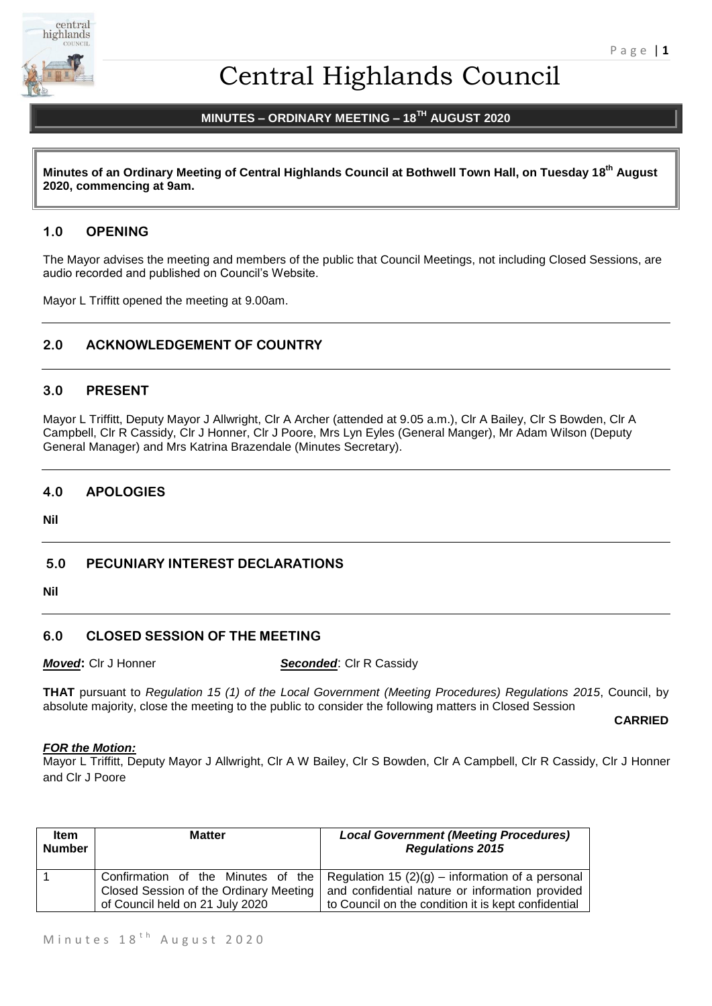

# Central Highlands Council

## **MINUTES – ORDINARY MEETING – 18TH AUGUST 2020**

**Minutes of an Ordinary Meeting of Central Highlands Council at Bothwell Town Hall, on Tuesday 18 th August 2020, commencing at 9am.**

## **1.0 OPENING**

The Mayor advises the meeting and members of the public that Council Meetings, not including Closed Sessions, are audio recorded and published on Council's Website.

Mayor L Triffitt opened the meeting at 9.00am.

## **2.0 ACKNOWLEDGEMENT OF COUNTRY**

#### **3.0 PRESENT**

Mayor L Triffitt, Deputy Mayor J Allwright, Clr A Archer (attended at 9.05 a.m.), Clr A Bailey, Clr S Bowden, Clr A Campbell, Clr R Cassidy, Clr J Honner, Clr J Poore, Mrs Lyn Eyles (General Manger), Mr Adam Wilson (Deputy General Manager) and Mrs Katrina Brazendale (Minutes Secretary).

## **4.0 APOLOGIES**

**Nil**

#### **5.0 PECUNIARY INTEREST DECLARATIONS**

**Nil**

## **6.0 CLOSED SESSION OF THE MEETING**

*Moved***:** Clr J Honner *Seconded*: Clr R Cassidy

**THAT** pursuant to *Regulation 15 (1) of the Local Government (Meeting Procedures) Regulations 2015*, Council, by absolute majority, close the meeting to the public to consider the following matters in Closed Session

**CARRIED**

#### *FOR the Motion:*

Mayor L Triffitt, Deputy Mayor J Allwright, Clr A W Bailey, Clr S Bowden, Clr A Campbell, Clr R Cassidy, Clr J Honner and Clr J Poore

| <b>Item</b><br><b>Number</b> | <b>Matter</b>                                                             | <b>Local Government (Meeting Procedures)</b><br><b>Regulations 2015</b>                                                                                                                       |
|------------------------------|---------------------------------------------------------------------------|-----------------------------------------------------------------------------------------------------------------------------------------------------------------------------------------------|
|                              | Closed Session of the Ordinary Meeting<br>of Council held on 21 July 2020 | Confirmation of the Minutes of the Regulation 15 (2)(g) – information of a personal<br>and confidential nature or information provided<br>to Council on the condition it is kept confidential |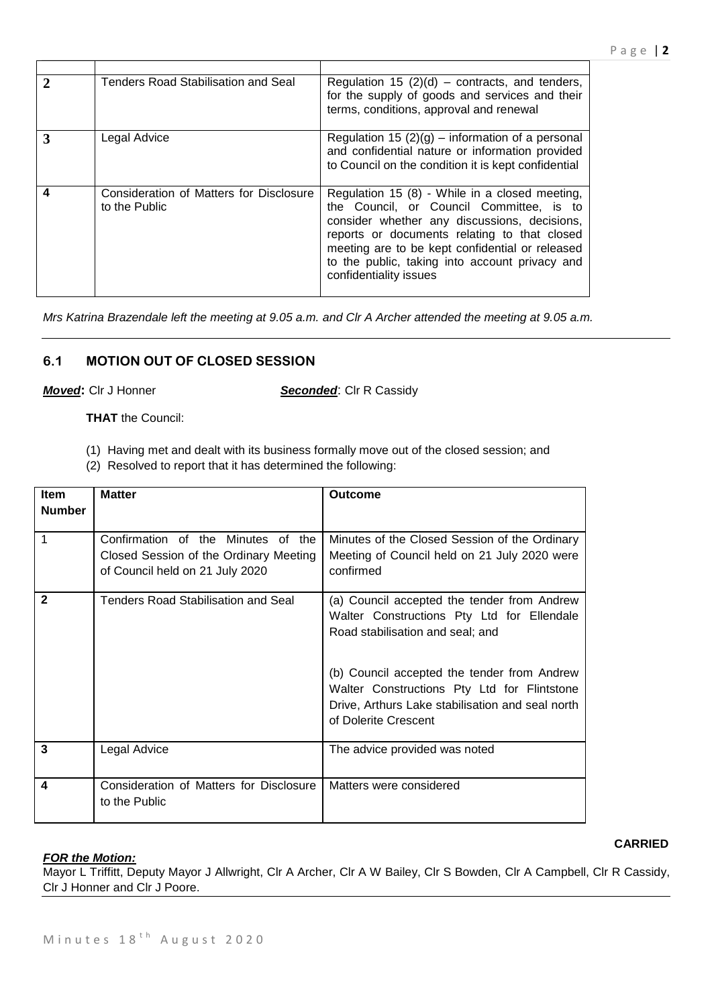| $\mathcal{D}$ | Tenders Road Stabilisation and Seal                      | Regulation 15 $(2)(d)$ – contracts, and tenders,<br>for the supply of goods and services and their<br>terms, conditions, approval and renewal                                                                                                                                                                             |
|---------------|----------------------------------------------------------|---------------------------------------------------------------------------------------------------------------------------------------------------------------------------------------------------------------------------------------------------------------------------------------------------------------------------|
| 3             | Legal Advice                                             | Regulation 15 $(2)(g)$ – information of a personal<br>and confidential nature or information provided<br>to Council on the condition it is kept confidential                                                                                                                                                              |
| 4             | Consideration of Matters for Disclosure<br>to the Public | Regulation 15 (8) - While in a closed meeting,<br>the Council, or Council Committee, is to<br>consider whether any discussions, decisions,<br>reports or documents relating to that closed<br>meeting are to be kept confidential or released<br>to the public, taking into account privacy and<br>confidentiality issues |

*Mrs Katrina Brazendale left the meeting at 9.05 a.m. and Clr A Archer attended the meeting at 9.05 a.m.*

## **6.1 MOTION OUT OF CLOSED SESSION**

*Moved***:** Clr J Honner *Seconded*: Clr R Cassidy

**THAT** the Council:

- (1) Having met and dealt with its business formally move out of the closed session; and
- (2) Resolved to report that it has determined the following:

| Item          | <b>Matter</b>                                                                                                   | <b>Outcome</b>                                                                                                                                                         |
|---------------|-----------------------------------------------------------------------------------------------------------------|------------------------------------------------------------------------------------------------------------------------------------------------------------------------|
| <b>Number</b> |                                                                                                                 |                                                                                                                                                                        |
| 1             | Confirmation of the Minutes of the<br>Closed Session of the Ordinary Meeting<br>of Council held on 21 July 2020 | Minutes of the Closed Session of the Ordinary<br>Meeting of Council held on 21 July 2020 were<br>confirmed                                                             |
| $\mathbf{2}$  | Tenders Road Stabilisation and Seal                                                                             | (a) Council accepted the tender from Andrew<br>Walter Constructions Pty Ltd for Ellendale<br>Road stabilisation and seal; and                                          |
|               |                                                                                                                 | (b) Council accepted the tender from Andrew<br>Walter Constructions Pty Ltd for Flintstone<br>Drive, Arthurs Lake stabilisation and seal north<br>of Dolerite Crescent |
| 3             | Legal Advice                                                                                                    | The advice provided was noted                                                                                                                                          |
| 4             | Consideration of Matters for Disclosure<br>to the Public                                                        | Matters were considered                                                                                                                                                |

#### *FOR the Motion:*

Mayor L Triffitt, Deputy Mayor J Allwright, Clr A Archer, Clr A W Bailey, Clr S Bowden, Clr A Campbell, Clr R Cassidy, Clr J Honner and Clr J Poore.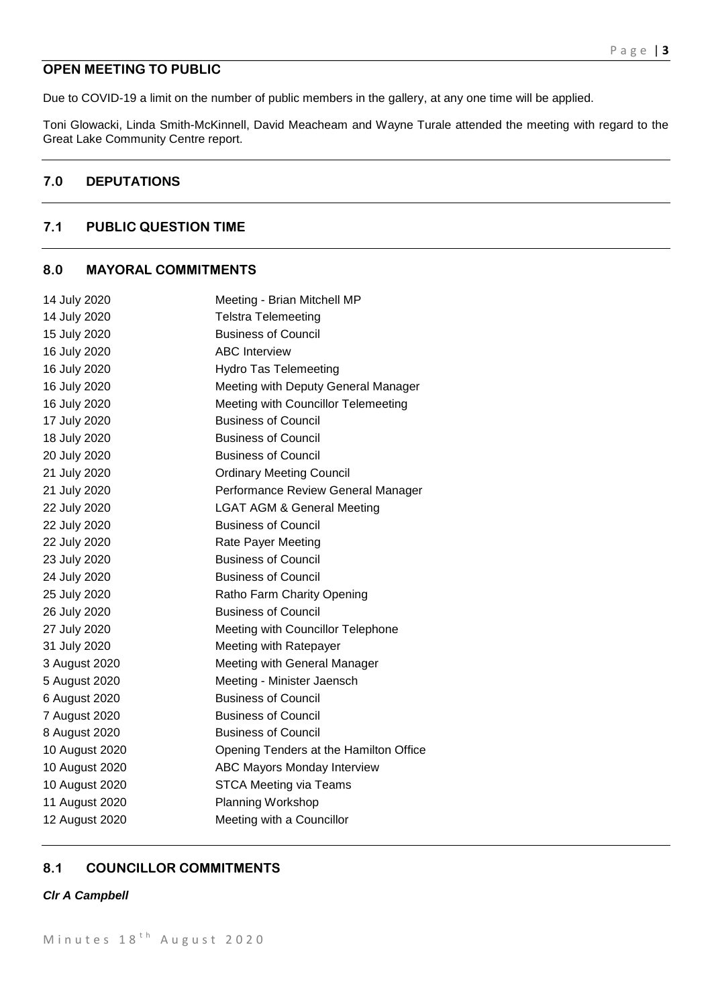## **OPEN MEETING TO PUBLIC**

Due to COVID-19 a limit on the number of public members in the gallery, at any one time will be applied.

Toni Glowacki, Linda Smith-McKinnell, David Meacheam and Wayne Turale attended the meeting with regard to the Great Lake Community Centre report.

## **7.0 DEPUTATIONS**

## **7.1 PUBLIC QUESTION TIME**

## **8.0 MAYORAL COMMITMENTS**

| 14 July 2020   | Meeting - Brian Mitchell MP            |
|----------------|----------------------------------------|
| 14 July 2020   | <b>Telstra Telemeeting</b>             |
| 15 July 2020   | <b>Business of Council</b>             |
| 16 July 2020   | <b>ABC</b> Interview                   |
| 16 July 2020   | <b>Hydro Tas Telemeeting</b>           |
| 16 July 2020   | Meeting with Deputy General Manager    |
| 16 July 2020   | Meeting with Councillor Telemeeting    |
| 17 July 2020   | <b>Business of Council</b>             |
| 18 July 2020   | <b>Business of Council</b>             |
| 20 July 2020   | <b>Business of Council</b>             |
| 21 July 2020   | <b>Ordinary Meeting Council</b>        |
| 21 July 2020   | Performance Review General Manager     |
| 22 July 2020   | <b>LGAT AGM &amp; General Meeting</b>  |
| 22 July 2020   | <b>Business of Council</b>             |
| 22 July 2020   | Rate Payer Meeting                     |
| 23 July 2020   | <b>Business of Council</b>             |
| 24 July 2020   | <b>Business of Council</b>             |
| 25 July 2020   | Ratho Farm Charity Opening             |
| 26 July 2020   | <b>Business of Council</b>             |
| 27 July 2020   | Meeting with Councillor Telephone      |
| 31 July 2020   | Meeting with Ratepayer                 |
| 3 August 2020  | Meeting with General Manager           |
| 5 August 2020  | Meeting - Minister Jaensch             |
| 6 August 2020  | <b>Business of Council</b>             |
| 7 August 2020  | <b>Business of Council</b>             |
| 8 August 2020  | <b>Business of Council</b>             |
| 10 August 2020 | Opening Tenders at the Hamilton Office |
| 10 August 2020 | ABC Mayors Monday Interview            |
| 10 August 2020 | <b>STCA Meeting via Teams</b>          |
| 11 August 2020 | <b>Planning Workshop</b>               |
| 12 August 2020 | Meeting with a Councillor              |

## **8.1 COUNCILLOR COMMITMENTS**

#### *Clr A Campbell*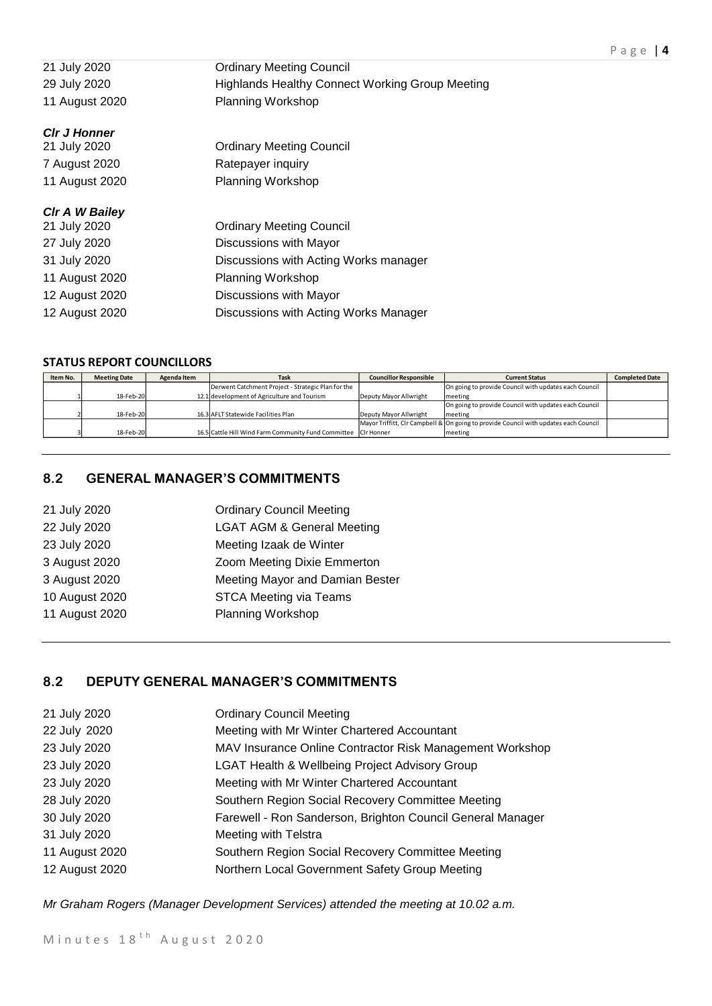| 21 July 2020          | <b>Ordinary Meeting Council</b>                        |
|-----------------------|--------------------------------------------------------|
| 29 July 2020          | <b>Highlands Healthy Connect Working Group Meeting</b> |
| 11 August 2020        | <b>Planning Workshop</b>                               |
| <b>CIr J Honner</b>   |                                                        |
| 21 July 2020          | <b>Ordinary Meeting Council</b>                        |
| 7 August 2020         | Ratepayer inquiry                                      |
| 11 August 2020        | <b>Planning Workshop</b>                               |
| <b>CIr A W Bailey</b> |                                                        |
| 21 July 2020          | <b>Ordinary Meeting Council</b>                        |
| 27 July 2020          | Discussions with Mayor                                 |
| 31 July 2020          | Discussions with Acting Works manager                  |
| 11 August 2020        | Planning Workshop                                      |
| 12 August 2020        | Discussions with Mayor                                 |
| 12 August 2020        | Discussions with Acting Works Manager                  |

## **STATUS REPORT COUNCILLORS**

| Item No. | <b>Meeting Date</b> | Agenda Item | <b>Task</b>                                                    | <b>Councillor Responsible</b> | <b>Current Status</b>                                                                | <b>Completed Date</b> |
|----------|---------------------|-------------|----------------------------------------------------------------|-------------------------------|--------------------------------------------------------------------------------------|-----------------------|
|          |                     |             | Derwent Catchment Project - Strategic Plan for the             |                               | On going to provide Council with updates each Council                                |                       |
|          | 18-Feb-20           |             | 12.1 development of Agriculture and Tourism                    | Deputy Mayor Allwright        | meeting                                                                              |                       |
|          |                     |             |                                                                |                               | On going to provide Council with updates each Council                                |                       |
|          | 18-Feb-20           |             | 16.3 AFLT Statewide Facilities Plan                            | Deputy Mayor Allwright        | meeting                                                                              |                       |
|          |                     |             |                                                                |                               | Mayor Triffitt, CIr Campbell & On going to provide Council with updates each Council |                       |
|          | 18-Feb-20           |             | 16.5 Cattle Hill Wind Farm Community Fund Committee Cir Honner |                               | meeting                                                                              |                       |

## **8.2 GENERAL MANAGER'S COMMITMENTS**

| 21 July 2020   | <b>Ordinary Council Meeting</b>       |
|----------------|---------------------------------------|
| 22 July 2020   | <b>LGAT AGM &amp; General Meeting</b> |
| 23 July 2020   | Meeting Izaak de Winter               |
| 3 August 2020  | Zoom Meeting Dixie Emmerton           |
| 3 August 2020  | Meeting Mayor and Damian Bester       |
| 10 August 2020 | <b>STCA Meeting via Teams</b>         |
| 11 August 2020 | <b>Planning Workshop</b>              |
|                |                                       |

## **8.2 DEPUTY GENERAL MANAGER'S COMMITMENTS**

| 21 July 2020   | <b>Ordinary Council Meeting</b>                            |
|----------------|------------------------------------------------------------|
| 22 July 2020   | Meeting with Mr Winter Chartered Accountant                |
| 23 July 2020   | MAV Insurance Online Contractor Risk Management Workshop   |
| 23 July 2020   | LGAT Health & Wellbeing Project Advisory Group             |
| 23 July 2020   | Meeting with Mr Winter Chartered Accountant                |
| 28 July 2020   | Southern Region Social Recovery Committee Meeting          |
| 30 July 2020   | Farewell - Ron Sanderson, Brighton Council General Manager |
| 31 July 2020   | Meeting with Telstra                                       |
| 11 August 2020 | Southern Region Social Recovery Committee Meeting          |
| 12 August 2020 | Northern Local Government Safety Group Meeting             |

*Mr Graham Rogers (Manager Development Services) attended the meeting at 10.02 a.m.*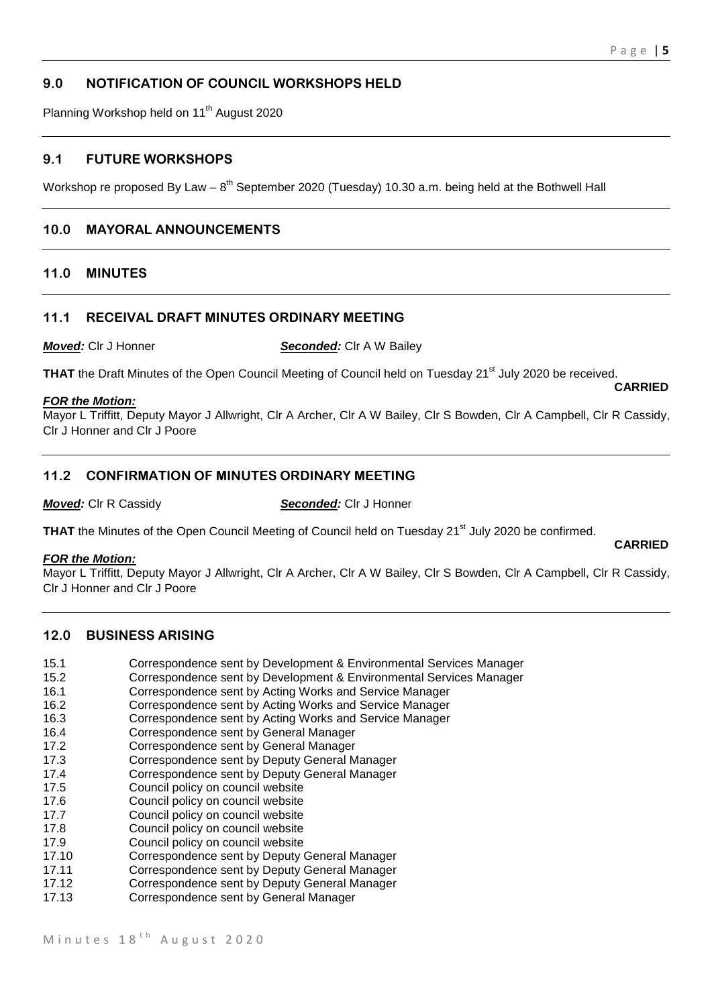## **9.0 NOTIFICATION OF COUNCIL WORKSHOPS HELD**

Planning Workshop held on 11<sup>th</sup> August 2020

#### **9.1 FUTURE WORKSHOPS**

Workshop re proposed By Law –  $8^{th}$  September 2020 (Tuesday) 10.30 a.m. being held at the Bothwell Hall

## **10.0 MAYORAL ANNOUNCEMENTS**

#### **11.0 MINUTES**

#### **11.1 RECEIVAL DRAFT MINUTES ORDINARY MEETING**

*Moved:* Clr J Honner *Seconded:* Clr A W Bailey

**THAT** the Draft Minutes of the Open Council Meeting of Council held on Tuesday 21<sup>st</sup> July 2020 be received. **CARRIED**

#### *FOR the Motion:*

Mayor L Triffitt, Deputy Mayor J Allwright, Clr A Archer, Clr A W Bailey, Clr S Bowden, Clr A Campbell, Clr R Cassidy, Clr J Honner and Clr J Poore

#### **11.2 CONFIRMATION OF MINUTES ORDINARY MEETING**

*Moved:* Clr R Cassidy *Seconded:* Clr J Honner

**THAT** the Minutes of the Open Council Meeting of Council held on Tuesday 21<sup>st</sup> July 2020 be confirmed.

#### *FOR the Motion:*

Mayor L Triffitt, Deputy Mayor J Allwright, Clr A Archer, Clr A W Bailey, Clr S Bowden, Clr A Campbell, Clr R Cassidy, Clr J Honner and Clr J Poore

## **12.0 BUSINESS ARISING**

- 15.1 Correspondence sent by Development & Environmental Services Manager
- 15.2 Correspondence sent by Development & Environmental Services Manager
- 16.1 Correspondence sent by Acting Works and Service Manager
- 16.2 Correspondence sent by Acting Works and Service Manager
- 16.3 Correspondence sent by Acting Works and Service Manager
- 16.4 Correspondence sent by General Manager
- 17.2 Correspondence sent by General Manager
- 17.3 Correspondence sent by Deputy General Manager
- 17.4 Correspondence sent by Deputy General Manager
- 17.5 Council policy on council website
- 17.6 Council policy on council website
- 17.7 Council policy on council website
- 17.8 Council policy on council website
- 17.9 Council policy on council website
- 17.10 Correspondence sent by Deputy General Manager
- 17.11 Correspondence sent by Deputy General Manager<br>17.12 Correspondence sent by Deputy General Manager
- Correspondence sent by Deputy General Manager
- 17.13 Correspondence sent by General Manager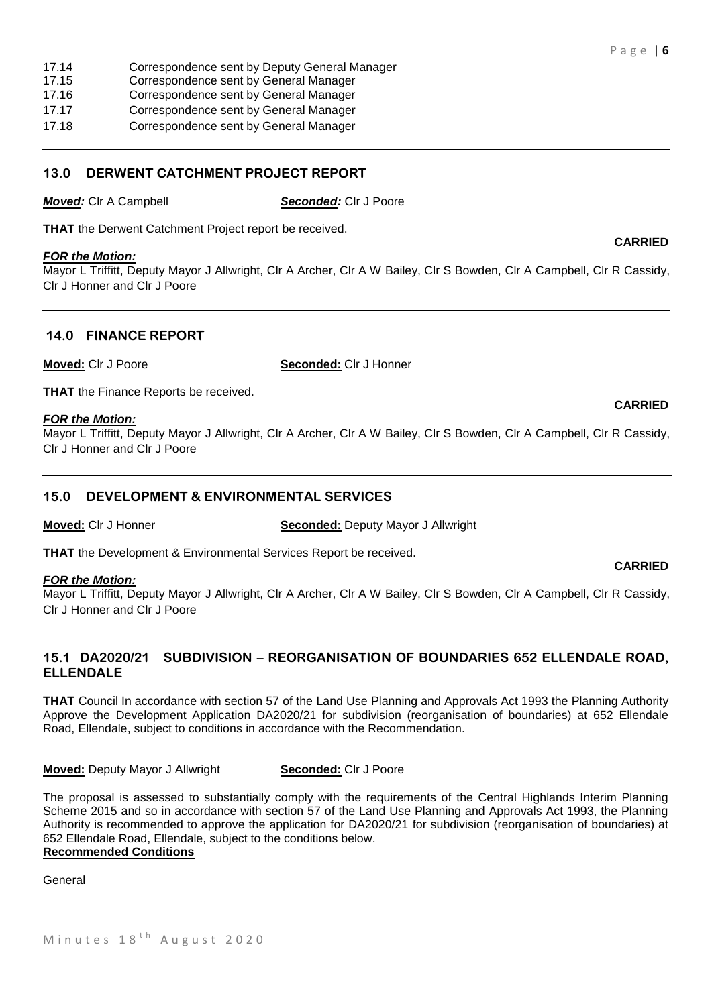- 17.14 Correspondence sent by Deputy General Manager
- 17.15 Correspondence sent by General Manager
- 17.16 Correspondence sent by General Manager
- 17.17 Correspondence sent by General Manager
- 17.18 Correspondence sent by General Manager

#### **13.0 DERWENT CATCHMENT PROJECT REPORT**

*Moved:* Clr A Campbell *Seconded:* Clr J Poore

**THAT** the Derwent Catchment Project report be received.

#### *FOR the Motion:*

Mayor L Triffitt, Deputy Mayor J Allwright, Clr A Archer, Clr A W Bailey, Clr S Bowden, Clr A Campbell, Clr R Cassidy, Clr J Honner and Clr J Poore

## **14.0 FINANCE REPORT**

**Moved:** Clr J Poore **Seconded:** Clr J Honner

**THAT** the Finance Reports be received.

#### *FOR the Motion:*

Mayor L Triffitt, Deputy Mayor J Allwright, Clr A Archer, Clr A W Bailey, Clr S Bowden, Clr A Campbell, Clr R Cassidy, Clr J Honner and Clr J Poore

## **15.0 DEVELOPMENT & ENVIRONMENTAL SERVICES**

**Moved:** Clr J Honner **Seconded:** Deputy Mayor J Allwright

**THAT** the Development & Environmental Services Report be received.

#### *FOR the Motion:*

Mayor L Triffitt, Deputy Mayor J Allwright, Clr A Archer, Clr A W Bailey, Clr S Bowden, Clr A Campbell, Clr R Cassidy, Clr J Honner and Clr J Poore

## **15.1 DA2020/21 SUBDIVISION – REORGANISATION OF BOUNDARIES 652 ELLENDALE ROAD, ELLENDALE**

**THAT** Council In accordance with section 57 of the Land Use Planning and Approvals Act 1993 the Planning Authority Approve the Development Application DA2020/21 for subdivision (reorganisation of boundaries) at 652 Ellendale Road, Ellendale, subject to conditions in accordance with the Recommendation.

**Moved:** Deputy Mayor J Allwright **Seconded:** Clr J Poore

The proposal is assessed to substantially comply with the requirements of the Central Highlands Interim Planning Scheme 2015 and so in accordance with section 57 of the Land Use Planning and Approvals Act 1993, the Planning Authority is recommended to approve the application for DA2020/21 for subdivision (reorganisation of boundaries) at 652 Ellendale Road, Ellendale, subject to the conditions below.

## **Recommended Conditions**

General

#### **CARRIED**

#### **CARRIED**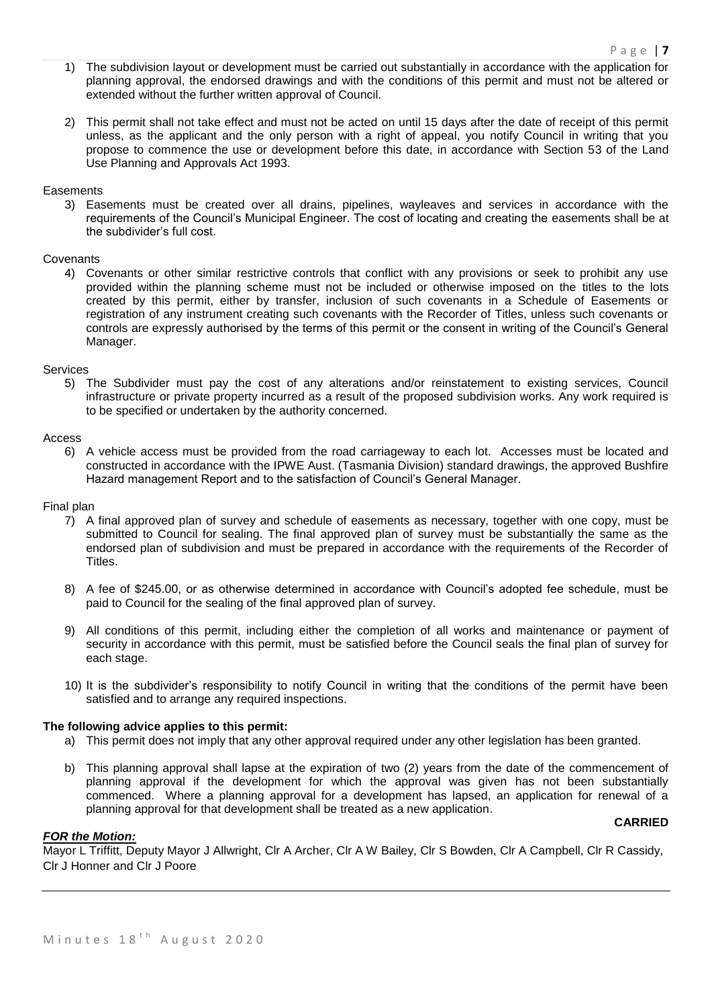- 1) The subdivision layout or development must be carried out substantially in accordance with the application for planning approval, the endorsed drawings and with the conditions of this permit and must not be altered or extended without the further written approval of Council.
- 2) This permit shall not take effect and must not be acted on until 15 days after the date of receipt of this permit unless, as the applicant and the only person with a right of appeal, you notify Council in writing that you propose to commence the use or development before this date, in accordance with Section 53 of the Land Use Planning and Approvals Act 1993.

#### **Easements**

3) Easements must be created over all drains, pipelines, wayleaves and services in accordance with the requirements of the Council's Municipal Engineer. The cost of locating and creating the easements shall be at the subdivider's full cost.

#### Covenants

4) Covenants or other similar restrictive controls that conflict with any provisions or seek to prohibit any use provided within the planning scheme must not be included or otherwise imposed on the titles to the lots created by this permit, either by transfer, inclusion of such covenants in a Schedule of Easements or registration of any instrument creating such covenants with the Recorder of Titles, unless such covenants or controls are expressly authorised by the terms of this permit or the consent in writing of the Council's General Manager.

#### Services

5) The Subdivider must pay the cost of any alterations and/or reinstatement to existing services, Council infrastructure or private property incurred as a result of the proposed subdivision works. Any work required is to be specified or undertaken by the authority concerned.

#### Access

6) A vehicle access must be provided from the road carriageway to each lot. Accesses must be located and constructed in accordance with the IPWE Aust. (Tasmania Division) standard drawings, the approved Bushfire Hazard management Report and to the satisfaction of Council's General Manager.

#### Final plan

- 7) A final approved plan of survey and schedule of easements as necessary, together with one copy, must be submitted to Council for sealing. The final approved plan of survey must be substantially the same as the endorsed plan of subdivision and must be prepared in accordance with the requirements of the Recorder of Titles.
- 8) A fee of \$245.00, or as otherwise determined in accordance with Council's adopted fee schedule, must be paid to Council for the sealing of the final approved plan of survey.
- 9) All conditions of this permit, including either the completion of all works and maintenance or payment of security in accordance with this permit, must be satisfied before the Council seals the final plan of survey for each stage.
- 10) It is the subdivider's responsibility to notify Council in writing that the conditions of the permit have been satisfied and to arrange any required inspections.

#### **The following advice applies to this permit:**

- a) This permit does not imply that any other approval required under any other legislation has been granted.
- b) This planning approval shall lapse at the expiration of two (2) years from the date of the commencement of planning approval if the development for which the approval was given has not been substantially commenced. Where a planning approval for a development has lapsed, an application for renewal of a planning approval for that development shall be treated as a new application.

#### **CARRIED**

#### *FOR the Motion:*

Mayor L Triffitt, Deputy Mayor J Allwright, Clr A Archer, Clr A W Bailey, Clr S Bowden, Clr A Campbell, Clr R Cassidy, Clr J Honner and Clr J Poore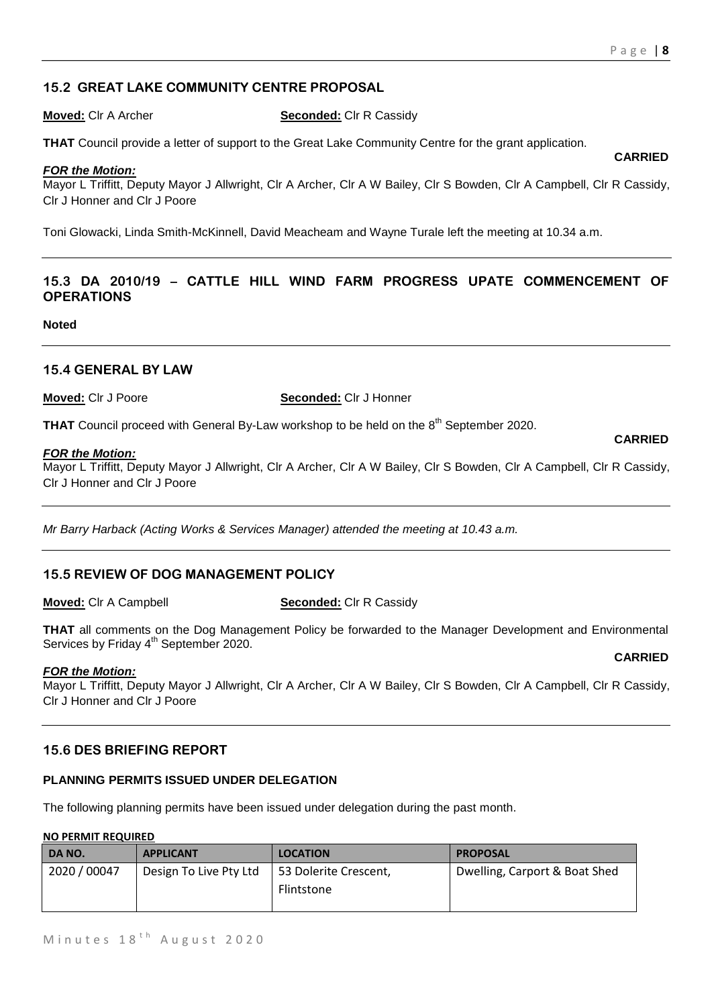## **15.2 GREAT LAKE COMMUNITY CENTRE PROPOSAL**

#### **Moved:** Clr A Archer **Seconded:** Clr R Cassidy

**THAT** Council provide a letter of support to the Great Lake Community Centre for the grant application.

#### *FOR the Motion:*

Mayor L Triffitt, Deputy Mayor J Allwright, Clr A Archer, Clr A W Bailey, Clr S Bowden, Clr A Campbell, Clr R Cassidy, Clr J Honner and Clr J Poore

Toni Glowacki, Linda Smith-McKinnell, David Meacheam and Wayne Turale left the meeting at 10.34 a.m.

## **15.3 DA 2010/19 – CATTLE HILL WIND FARM PROGRESS UPATE COMMENCEMENT OF OPERATIONS**

**Noted**

## **15.4 GENERAL BY LAW**

**Moved:** Clr J Poore **Seconded:** Clr J Honner

**THAT** Council proceed with General By-Law workshop to be held on the 8<sup>th</sup> September 2020.

#### *FOR the Motion:*

Mayor L Triffitt, Deputy Mayor J Allwright, Clr A Archer, Clr A W Bailey, Clr S Bowden, Clr A Campbell, Clr R Cassidy, Clr J Honner and Clr J Poore

*Mr Barry Harback (Acting Works & Services Manager) attended the meeting at 10.43 a.m.*

## **15.5 REVIEW OF DOG MANAGEMENT POLICY**

#### **Moved:** Clr A Campbell **Seconded:** Clr R Cassidy

**THAT** all comments on the Dog Management Policy be forwarded to the Manager Development and Environmental Services by Friday 4<sup>th</sup> September 2020.

#### *FOR the Motion:*

Mayor L Triffitt, Deputy Mayor J Allwright, Clr A Archer, Clr A W Bailey, Clr S Bowden, Clr A Campbell, Clr R Cassidy, Clr J Honner and Clr J Poore

#### **15.6 DES BRIEFING REPORT**

#### **PLANNING PERMITS ISSUED UNDER DELEGATION**

The following planning permits have been issued under delegation during the past month.

#### **NO PERMIT REQUIRED**

| DA NO.       | <b>APPLICANT</b>       | <b>LOCATION</b>       | <b>PROPOSAL</b>               |
|--------------|------------------------|-----------------------|-------------------------------|
| 2020 / 00047 | Design To Live Pty Ltd | 53 Dolerite Crescent, | Dwelling, Carport & Boat Shed |
|              |                        | Flintstone            |                               |
|              |                        |                       |                               |

#### **CARRIED**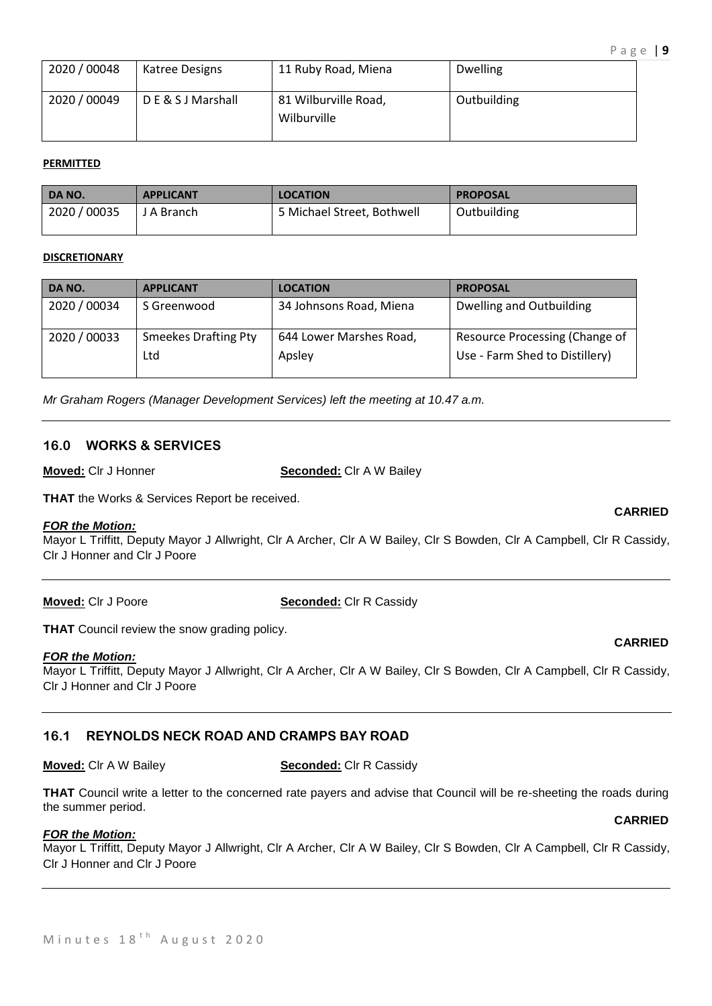| 2020 / 00048 | Katree Designs    | 11 Ruby Road, Miena                 | <b>Dwelling</b> |
|--------------|-------------------|-------------------------------------|-----------------|
| 2020 / 00049 | DE & S J Marshall | 81 Wilburville Road,<br>Wilburville | Outbuilding     |

#### **PERMITTED**

| DA NO.       | <b>APPLICANT</b> | <b>LOCATION</b>            | <b>PROPOSAL</b> |
|--------------|------------------|----------------------------|-----------------|
| 2020 / 00035 | J A Branch       | 5 Michael Street, Bothwell | Outbuilding     |

#### **DISCRETIONARY**

| DA NO.       | <b>APPLICANT</b>            | <b>LOCATION</b>         | <b>PROPOSAL</b>                |
|--------------|-----------------------------|-------------------------|--------------------------------|
| 2020 / 00034 | S Greenwood                 | 34 Johnsons Road, Miena | Dwelling and Outbuilding       |
| 2020 / 00033 | <b>Smeekes Drafting Pty</b> | 644 Lower Marshes Road, | Resource Processing (Change of |
|              | Ltd                         | Apsley                  | Use - Farm Shed to Distillery) |

*Mr Graham Rogers (Manager Development Services) left the meeting at 10.47 a.m.*

#### **16.0 WORKS & SERVICES**

**Moved:** Clr J Honner **Seconded:** Clr A W Bailey

**THAT** the Works & Services Report be received.

#### *FOR the Motion:*

Mayor L Triffitt, Deputy Mayor J Allwright, Clr A Archer, Clr A W Bailey, Clr S Bowden, Clr A Campbell, Clr R Cassidy, Clr J Honner and Clr J Poore

**Moved:** Clr J Poore **Seconded:** Clr R Cassidy

**THAT** Council review the snow grading policy.

## *FOR the Motion:*

Mayor L Triffitt, Deputy Mayor J Allwright, Clr A Archer, Clr A W Bailey, Clr S Bowden, Clr A Campbell, Clr R Cassidy, Clr J Honner and Clr J Poore

## **16.1 REYNOLDS NECK ROAD AND CRAMPS BAY ROAD**

**Moved:** Clr A W Bailey **Seconded:** Clr R Cassidy

**THAT** Council write a letter to the concerned rate payers and advise that Council will be re-sheeting the roads during the summer period.

#### *FOR the Motion:*

Mayor L Triffitt, Deputy Mayor J Allwright, Clr A Archer, Clr A W Bailey, Clr S Bowden, Clr A Campbell, Clr R Cassidy, Clr J Honner and Clr J Poore

**CARRIED**

#### **CARRIED**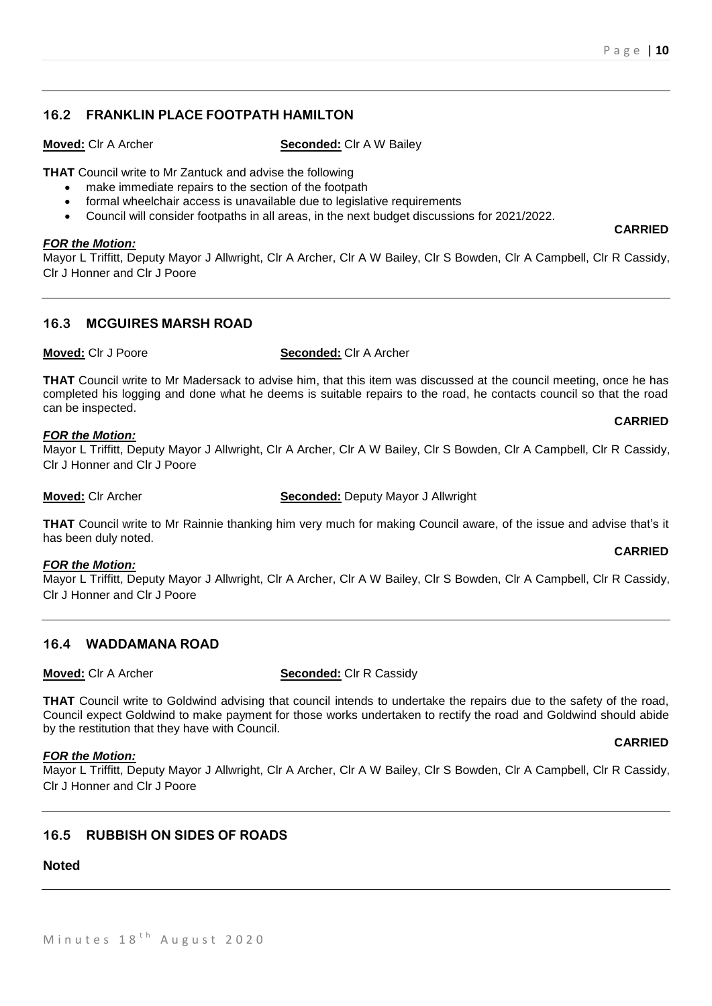## **16.2 FRANKLIN PLACE FOOTPATH HAMILTON**

**Moved:** Clr A Archer **Seconded:** Clr A W Bailey

**THAT** Council write to Mr Zantuck and advise the following

- make immediate repairs to the section of the footpath
- formal wheelchair access is unavailable due to legislative requirements
- Council will consider footpaths in all areas, in the next budget discussions for 2021/2022.

#### *FOR the Motion:*

Mayor L Triffitt, Deputy Mayor J Allwright, Clr A Archer, Clr A W Bailey, Clr S Bowden, Clr A Campbell, Clr R Cassidy, Clr J Honner and Clr J Poore

## **16.3 MCGUIRES MARSH ROAD**

**Moved:** Clr J Poore **Seconded:** Clr A Archer

**THAT** Council write to Mr Madersack to advise him, that this item was discussed at the council meeting, once he has completed his logging and done what he deems is suitable repairs to the road, he contacts council so that the road can be inspected.

#### *FOR the Motion:*

Mayor L Triffitt, Deputy Mayor J Allwright, Clr A Archer, Clr A W Bailey, Clr S Bowden, Clr A Campbell, Clr R Cassidy, Clr J Honner and Clr J Poore

**Moved:** Clr Archer **Seconded:** Deputy Mayor J Allwright

**THAT** Council write to Mr Rainnie thanking him very much for making Council aware, of the issue and advise that's it has been duly noted. **CARRIED**

#### *FOR the Motion:*

Mayor L Triffitt, Deputy Mayor J Allwright, Clr A Archer, Clr A W Bailey, Clr S Bowden, Clr A Campbell, Clr R Cassidy, Clr J Honner and Clr J Poore

## **16.4 WADDAMANA ROAD**

**Moved:** Clr A Archer **Seconded:** Clr R Cassidy

**THAT** Council write to Goldwind advising that council intends to undertake the repairs due to the safety of the road, Council expect Goldwind to make payment for those works undertaken to rectify the road and Goldwind should abide by the restitution that they have with Council.

#### *FOR the Motion:*

Mayor L Triffitt, Deputy Mayor J Allwright, Clr A Archer, Clr A W Bailey, Clr S Bowden, Clr A Campbell, Clr R Cassidy, Clr J Honner and Clr J Poore

## **16.5 RUBBISH ON SIDES OF ROADS**

## **Noted**

#### **CARRIED**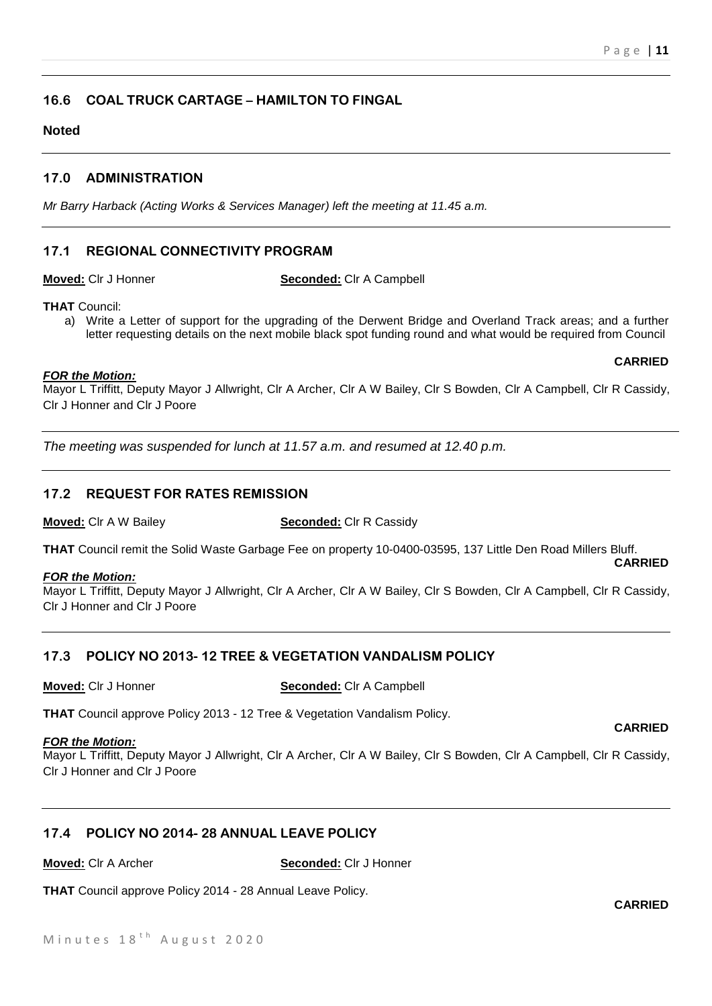**CARRIED**

**CARRIED**

## **16.6 COAL TRUCK CARTAGE – HAMILTON TO FINGAL**

## **Noted**

## **17.0 ADMINISTRATION**

*Mr Barry Harback (Acting Works & Services Manager) left the meeting at 11.45 a.m.*

## **17.1 REGIONAL CONNECTIVITY PROGRAM**

**Moved:** Clr J Honner **Seconded:** Clr A Campbell

**THAT** Council:

a) Write a Letter of support for the upgrading of the Derwent Bridge and Overland Track areas; and a further letter requesting details on the next mobile black spot funding round and what would be required from Council

#### *FOR the Motion:*

Mayor L Triffitt, Deputy Mayor J Allwright, Clr A Archer, Clr A W Bailey, Clr S Bowden, Clr A Campbell, Clr R Cassidy, Clr J Honner and Clr J Poore

*The meeting was suspended for lunch at 11.57 a.m. and resumed at 12.40 p.m.*

## **17.2 REQUEST FOR RATES REMISSION**

**Moved:** Clr A W Bailey **Seconded:** Clr R Cassidy

**THAT** Council remit the Solid Waste Garbage Fee on property 10-0400-03595, 137 Little Den Road Millers Bluff.

## *FOR the Motion:*

Mayor L Triffitt, Deputy Mayor J Allwright, Clr A Archer, Clr A W Bailey, Clr S Bowden, Clr A Campbell, Clr R Cassidy, Clr J Honner and Clr J Poore

## **17.3 POLICY NO 2013- 12 TREE & VEGETATION VANDALISM POLICY**

#### **Moved:** Clr J Honner **Seconded:** Clr A Campbell

**THAT** Council approve Policy 2013 - 12 Tree & Vegetation Vandalism Policy.

#### *FOR the Motion:*

Mayor L Triffitt, Deputy Mayor J Allwright, Clr A Archer, Clr A W Bailey, Clr S Bowden, Clr A Campbell, Clr R Cassidy, Clr J Honner and Clr J Poore

## **17.4 POLICY NO 2014- 28 ANNUAL LEAVE POLICY**

**Moved:** Clr A Archer **Seconded:** Clr J Honner

**THAT** Council approve Policy 2014 - 28 Annual Leave Policy.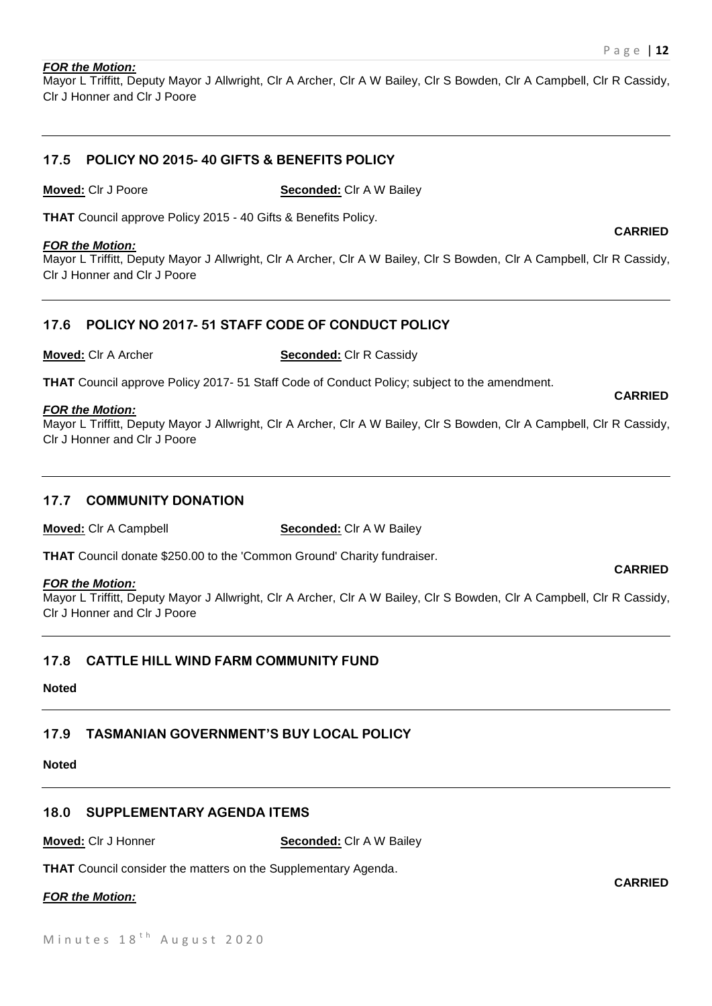#### *FOR the Motion:*

Mayor L Triffitt, Deputy Mayor J Allwright, Clr A Archer, Clr A W Bailey, Clr S Bowden, Clr A Campbell, Clr R Cassidy, Clr J Honner and Clr J Poore

## **17.5 POLICY NO 2015- 40 GIFTS & BENEFITS POLICY**

**Moved:** Clr J Poore **Seconded:** Clr A W Bailey

**THAT** Council approve Policy 2015 - 40 Gifts & Benefits Policy.

#### *FOR the Motion:*

Mayor L Triffitt, Deputy Mayor J Allwright, Clr A Archer, Clr A W Bailey, Clr S Bowden, Clr A Campbell, Clr R Cassidy, Clr J Honner and Clr J Poore

## **17.6 POLICY NO 2017- 51 STAFF CODE OF CONDUCT POLICY**

**Moved:** Clr A Archer **Seconded:** Clr R Cassidy

**THAT** Council approve Policy 2017- 51 Staff Code of Conduct Policy; subject to the amendment.

#### *FOR the Motion:*

Mayor L Triffitt, Deputy Mayor J Allwright, Clr A Archer, Clr A W Bailey, Clr S Bowden, Clr A Campbell, Clr R Cassidy, Clr J Honner and Clr J Poore

#### **17.7 COMMUNITY DONATION**

**Moved:** Clr A Campbell **Seconded:** Clr A W Bailey

**THAT** Council donate \$250.00 to the 'Common Ground' Charity fundraiser.

#### *FOR the Motion:*

Mayor L Triffitt, Deputy Mayor J Allwright, Clr A Archer, Clr A W Bailey, Clr S Bowden, Clr A Campbell, Clr R Cassidy, Clr J Honner and Clr J Poore

## **17.8 CATTLE HILL WIND FARM COMMUNITY FUND**

#### **Noted**

## **17.9 TASMANIAN GOVERNMENT'S BUY LOCAL POLICY**

## **Noted**

## **18.0 SUPPLEMENTARY AGENDA ITEMS**

**Moved:** Clr J Honner **Seconded:** Clr A W Bailey

**THAT** Council consider the matters on the Supplementary Agenda.

#### *FOR the Motion:*



# **CARRIED**

**CARRIED**